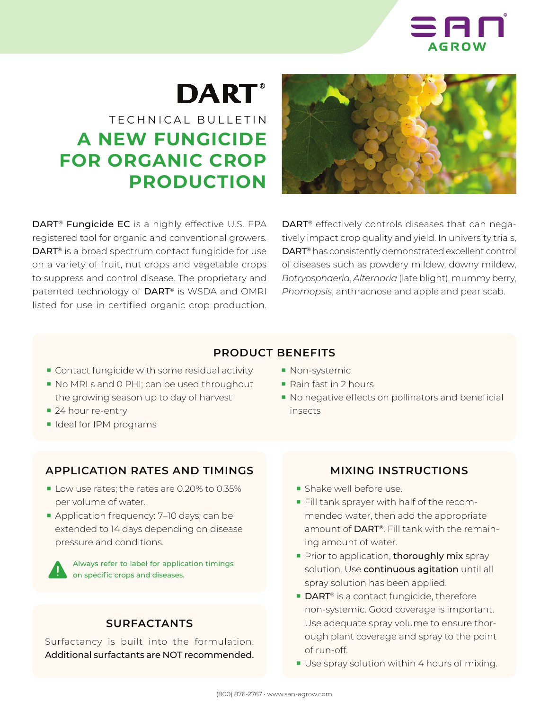

# **DART**®

# TECHNICAL BULLETIN **A NEW FUNGICIDE FOR ORGANIC CROP PRODUCTION**

DART® Fungicide EC is a highly effective U.S. EPA registered tool for organic and conventional growers. DART® is a broad spectrum contact fungicide for use on a variety of fruit, nut crops and vegetable crops to suppress and control disease. The proprietary and patented technology of DART® is WSDA and OMRI listed for use in certified organic crop production.



DART® effectively controls diseases that can negatively impact crop quality and yield. In university trials, DART® has consistently demonstrated excellent control of diseases such as powdery mildew, downy mildew, *Botryosphaeria*, *Alternaria* (late blight), mummy berry, *Phomopsis*, anthracnose and apple and pear scab.

#### **PRODUCT BENEFITS**

- Contact fungicide with some residual activity
- No MRLs and 0 PHI; can be used throughout the growing season up to day of harvest
- 24 hour re-entry
- Ideal for IPM programs

### **APPLICATION RATES AND TIMINGS**

- Low use rates; the rates are 0.20% to 0.35% per volume of water.
- Application frequency: 7-10 days; can be extended to 14 days depending on disease pressure and conditions.

Always refer to label for application timings on specific crops and diseases.

#### **SURFACTANTS**

Surfactancy is built into the formulation. Additional surfactants are NOT recommended.

- Non-systemic
- Rain fast in 2 hours
- No negative effects on pollinators and beneficial insects

#### **MIXING INSTRUCTIONS**

- Shake well before use.
- Fill tank sprayer with half of the recommended water, then add the appropriate amount of DART®. Fill tank with the remaining amount of water.
- Prior to application, thoroughly mix spray solution. Use continuous agitation until all spray solution has been applied.
- DART<sup>®</sup> is a contact fungicide, therefore non-systemic. Good coverage is important. Use adequate spray volume to ensure thorough plant coverage and spray to the point of run-off.
- Use spray solution within 4 hours of mixing.